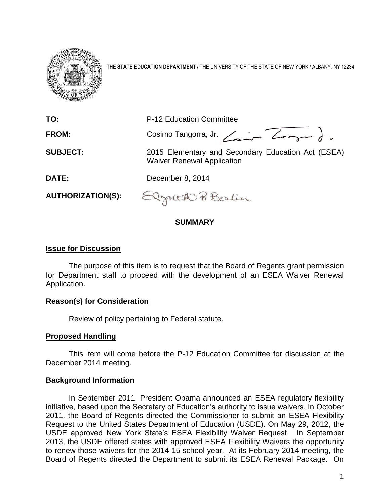

**THE STATE EDUCATION DEPARTMENT** / THE UNIVERSITY OF THE STATE OF NEW YORK / ALBANY, NY 12234

| TO:                      | P-12 Education Committee                                                                |
|--------------------------|-----------------------------------------------------------------------------------------|
| <b>FROM:</b>             | Cosimo Tangorra, Jr. $\angle$                                                           |
| <b>SUBJECT:</b>          | 2015 Elementary and Secondary Education Act (ESEA)<br><b>Waiver Renewal Application</b> |
| DATE:                    | December 8, 2014                                                                        |
| <b>AUTHORIZATION(S):</b> | Elzaleth Berlin                                                                         |

# **SUMMARY**

#### **Issue for Discussion**

The purpose of this item is to request that the Board of Regents grant permission for Department staff to proceed with the development of an ESEA Waiver Renewal Application.

## **Reason(s) for Consideration**

Review of policy pertaining to Federal statute.

## **Proposed Handling**

This item will come before the P-12 Education Committee for discussion at the December 2014 meeting.

#### **Background Information**

In September 2011, President Obama announced an ESEA regulatory flexibility initiative, based upon the Secretary of Education's authority to issue waivers. In October 2011, the Board of Regents directed the Commissioner to submit an ESEA Flexibility Request to the United States Department of Education (USDE). On May 29, 2012, the USDE approved New York State's ESEA Flexibility Waiver Request. In September 2013, the USDE offered states with approved ESEA Flexibility Waivers the opportunity to renew those waivers for the 2014-15 school year. At its February 2014 meeting, the Board of Regents directed the Department to submit its ESEA Renewal Package. On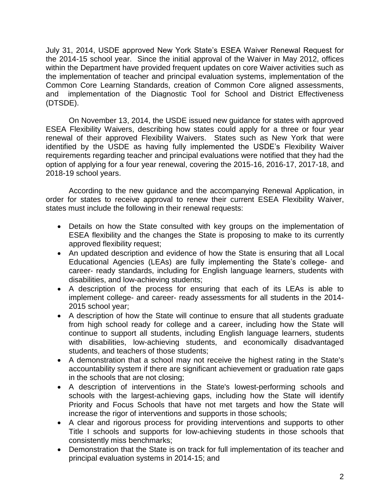July 31, 2014, USDE approved New York State's ESEA Waiver Renewal Request for the 2014-15 school year. Since the initial approval of the Waiver in May 2012, offices within the Department have provided frequent updates on core Waiver activities such as the implementation of teacher and principal evaluation systems, implementation of the Common Core Learning Standards, creation of Common Core aligned assessments, and implementation of the Diagnostic Tool for School and District Effectiveness (DTSDE).

On November 13, 2014, the USDE issued new guidance for states with approved ESEA Flexibility Waivers, describing how states could apply for a three or four year renewal of their approved Flexibility Waivers. States such as New York that were identified by the USDE as having fully implemented the USDE's Flexibility Waiver requirements regarding teacher and principal evaluations were notified that they had the option of applying for a four year renewal, covering the 2015-16, 2016-17, 2017-18, and 2018-19 school years.

According to the new guidance and the accompanying Renewal Application, in order for states to receive approval to renew their current ESEA Flexibility Waiver, states must include the following in their renewal requests:

- Details on how the State consulted with key groups on the implementation of ESEA flexibility and the changes the State is proposing to make to its currently approved flexibility request;
- An updated description and evidence of how the State is ensuring that all Local Educational Agencies (LEAs) are fully implementing the State's college- and career- ready standards, including for English language learners, students with disabilities, and low-achieving students;
- A description of the process for ensuring that each of its LEAs is able to implement college- and career- ready assessments for all students in the 2014- 2015 school year;
- A description of how the State will continue to ensure that all students graduate from high school ready for college and a career, including how the State will continue to support all students, including English language learners, students with disabilities, low-achieving students, and economically disadvantaged students, and teachers of those students;
- A demonstration that a school may not receive the highest rating in the State's accountability system if there are significant achievement or graduation rate gaps in the schools that are not closing;
- A description of interventions in the State's lowest-performing schools and schools with the largest-achieving gaps, including how the State will identify Priority and Focus Schools that have not met targets and how the State will increase the rigor of interventions and supports in those schools;
- A clear and rigorous process for providing interventions and supports to other Title I schools and supports for low-achieving students in those schools that consistently miss benchmarks;
- Demonstration that the State is on track for full implementation of its teacher and principal evaluation systems in 2014-15; and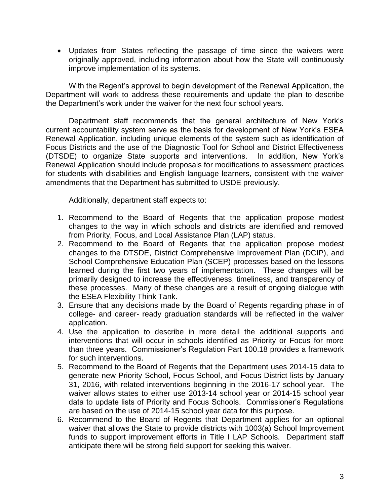Updates from States reflecting the passage of time since the waivers were originally approved, including information about how the State will continuously improve implementation of its systems.

With the Regent's approval to begin development of the Renewal Application, the Department will work to address these requirements and update the plan to describe the Department's work under the waiver for the next four school years.

Department staff recommends that the general architecture of New York's current accountability system serve as the basis for development of New York's ESEA Renewal Application, including unique elements of the system such as identification of Focus Districts and the use of the Diagnostic Tool for School and District Effectiveness (DTSDE) to organize State supports and interventions. In addition, New York's Renewal Application should include proposals for modifications to assessment practices for students with disabilities and English language learners, consistent with the waiver amendments that the Department has submitted to USDE previously.

Additionally, department staff expects to:

- 1. Recommend to the Board of Regents that the application propose modest changes to the way in which schools and districts are identified and removed from Priority, Focus, and Local Assistance Plan (LAP) status.
- 2. Recommend to the Board of Regents that the application propose modest changes to the DTSDE, District Comprehensive Improvement Plan (DCIP), and School Comprehensive Education Plan (SCEP) processes based on the lessons learned during the first two years of implementation. These changes will be primarily designed to increase the effectiveness, timeliness, and transparency of these processes. Many of these changes are a result of ongoing dialogue with the ESEA Flexibility Think Tank.
- 3. Ensure that any decisions made by the Board of Regents regarding phase in of college- and career- ready graduation standards will be reflected in the waiver application.
- 4. Use the application to describe in more detail the additional supports and interventions that will occur in schools identified as Priority or Focus for more than three years. Commissioner's Regulation Part 100.18 provides a framework for such interventions.
- 5. Recommend to the Board of Regents that the Department uses 2014-15 data to generate new Priority School, Focus School, and Focus District lists by January 31, 2016, with related interventions beginning in the 2016-17 school year. The waiver allows states to either use 2013-14 school year or 2014-15 school year data to update lists of Priority and Focus Schools. Commissioner's Regulations are based on the use of 2014-15 school year data for this purpose.
- 6. Recommend to the Board of Regents that Department applies for an optional waiver that allows the State to provide districts with 1003(a) School Improvement funds to support improvement efforts in Title I LAP Schools. Department staff anticipate there will be strong field support for seeking this waiver.